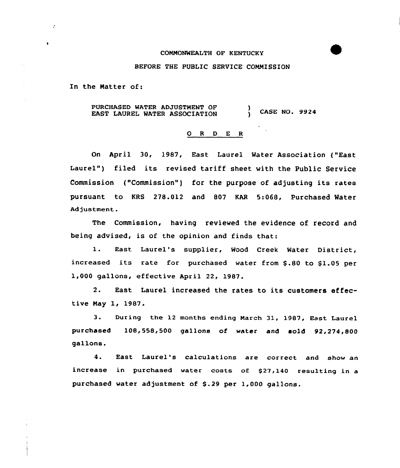## COMMONWEALTH OF KENTUCKY

#### BEFORE THE PUBLIC SERVICE COMMISSION

In the Matter of:

 $\mathcal{Z}$ 

 $\ddot{\phantom{a}}$ 

PURCHASED WATER ADJUSTMENT OF PURCHASED WATER ADJUSTMENT OF (ASE NO. 9924)

## 0 <sup>R</sup> <sup>D</sup> E <sup>R</sup>

On April 30, 1987, East Laurel Water Association {"East Laurel") filed its revised tariff sheet with the Public Service Commission {"Commission") for the purpose of adjusting its rates pursuant to KRS 278.012 and 807 KAR 5:068, Purchased Water Adjustment.

The Commission, having reviewed the evidence of record and being advised, is of the opinion and finds that:

l. East Laurel's supplier, Wood Creek Water District, increased its rate for purchased water from \$.80 to \$1.05 per 1,000 gallons, effective April 22, 1987.

2. East Laurel increased the rates to its customers effective May 1, 1987.

3. During the 12 months ending March 31, 1987, East Laurel purchased 108,558,500 gallons of water and sold 92,274,800 gallons.

4. East Laurel's calculations are correct and show an increase in purchased water costs of \$27,140 resulting in a purchased water adjustment of \$.29 per 1,000 gallons.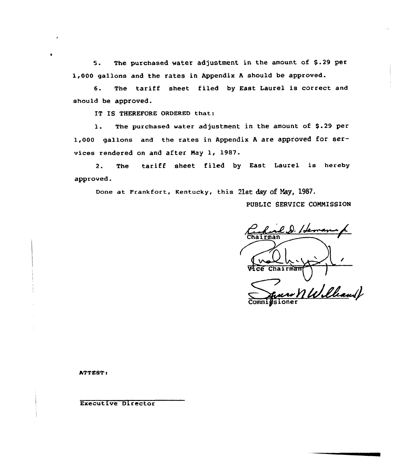5. The purchased water adjustment in the amount of \$,.29 per 1,000 gallons and the rates in Appendix <sup>A</sup> should be approved.

6. The tariff sheet filed by East Laurel is correct and should be approved.

IT IS THEREFORE ORDERED that:

1. The purchased water adjustment in the amount of \$.29 per 1,000 gallons and the rates in Appendix <sup>A</sup> are approved for services rendered on and after Nay 1, 19S7.

2. The tariff Sheet filed by East Laurel is hereby approved.

Done at Frankfort, Kentucky, this 21st day of Nay, 1987.

PUBLIC SERVICE COMMISSION

3 IA hairman Chairman w n William ) **Commigsione** 

ATTEST:

 $\bullet$ 

Executive Director